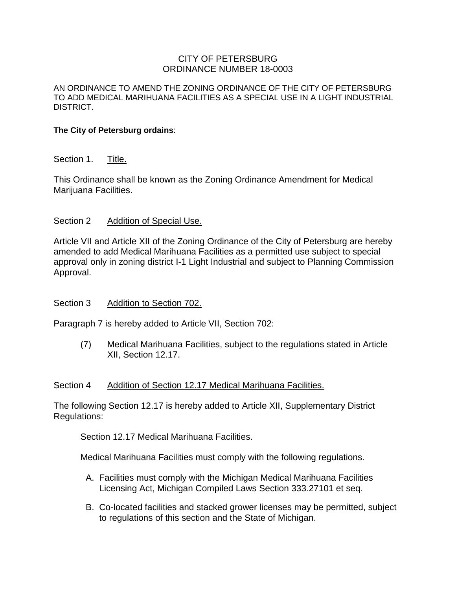# CITY OF PETERSBURG ORDINANCE NUMBER 18-0003

AN ORDINANCE TO AMEND THE ZONING ORDINANCE OF THE CITY OF PETERSBURG TO ADD MEDICAL MARIHUANA FACILITIES AS A SPECIAL USE IN A LIGHT INDUSTRIAL DISTRICT.

### **The City of Petersburg ordains**:

# Section 1. Title.

This Ordinance shall be known as the Zoning Ordinance Amendment for Medical Marijuana Facilities.

### Section 2 Addition of Special Use.

Article VII and Article XII of the Zoning Ordinance of the City of Petersburg are hereby amended to add Medical Marihuana Facilities as a permitted use subject to special approval only in zoning district I-1 Light Industrial and subject to Planning Commission Approval.

#### Section 3 Addition to Section 702.

Paragraph 7 is hereby added to Article VII, Section 702:

(7) Medical Marihuana Facilities, subject to the regulations stated in Article XII, Section 12.17.

#### Section 4 Addition of Section 12.17 Medical Marihuana Facilities.

The following Section 12.17 is hereby added to Article XII, Supplementary District Regulations:

Section 12.17 Medical Marihuana Facilities.

Medical Marihuana Facilities must comply with the following regulations.

- A. Facilities must comply with the Michigan Medical Marihuana Facilities Licensing Act, Michigan Compiled Laws Section 333.27101 et seq.
- B. Co-located facilities and stacked grower licenses may be permitted, subject to regulations of this section and the State of Michigan.